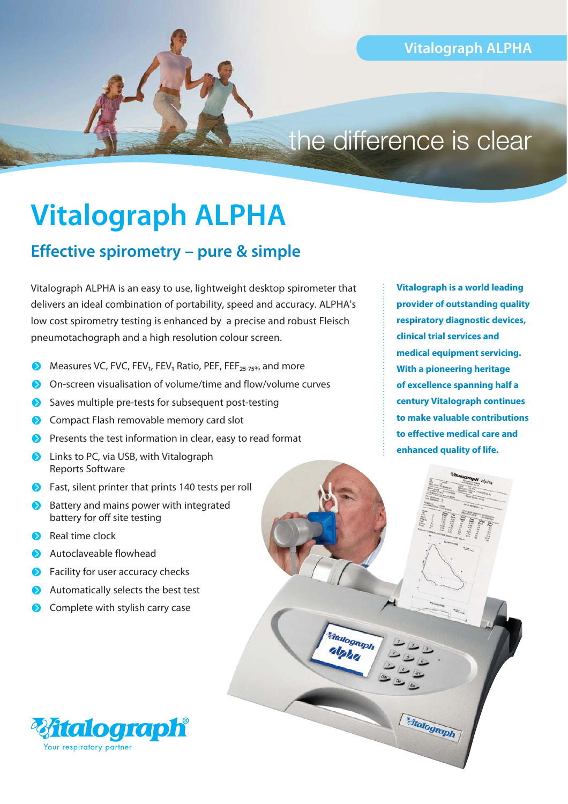## the difference is clear

*<u>Malograph</u>* alpha

Malograph

# **Vitalograph ALPHA**

#### **Effective spirometry – pure & simple**

Vitalograph ALPHA is an easy to use, lightweight desktop spirometer that delivers an ideal combination of portability, speed and accuracy. ALPHA's low cost spirometry testing is enhanced by a precise and robust Fleisch pneumotachograph and a high resolution colour screen.

- Measures VC, FVC, FEV<sub>1</sub>, FEV<sub>1</sub> Ratio, PEF, FEF<sub>25-75%</sub> and more
- On-screen visualisation of volume/time and flow/volume curves
- Saves multiple pre-tests for subsequent post-testing
- Compact Flash removable memory card slot
- **Presents the test information in clear, easy to read format**
- **D** Links to PC, via USB, with Vitalograph Reports Software
- **•** Fast, silent printer that prints 140 tests per roll
- Battery and mains power with integrated battery for off site testing
- Real time clock
- Autoclaveable flowhead
- Facility for user accuracy checks
- Automatically selects the best test
- **Complete with stylish carry case**



**Vitalograph is a world leading provider of outstanding quality respiratory diagnostic devices, clinical trial services and medical equipment servicing. With a pioneering heritage of excellence spanning half a century Vitalograph continues to make valuable contributions to effective medical care and enhanced quality of life.**